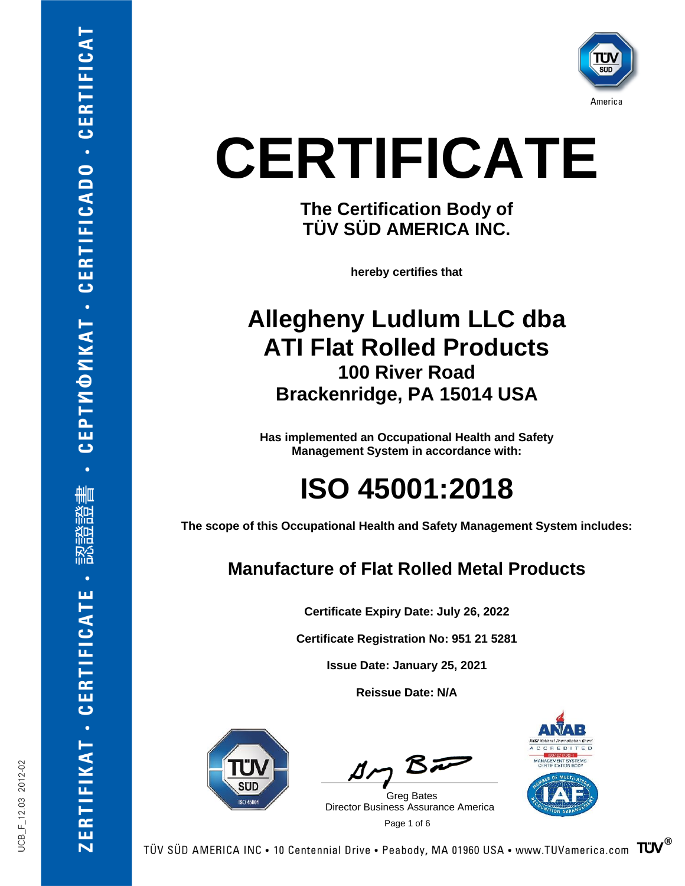

**The Certification Body of TÜV SÜD AMERICA INC.**

**hereby certifies that**

#### **Allegheny Ludlum LLC dba ATI Flat Rolled Products 100 River Road Brackenridge, PA 15014 USA**

**Has implemented an Occupational Health and Safety Management System in accordance with:**

#### **ISO 45001:2018**

**The scope of this Occupational Health and Safety Management System includes:**

#### **Manufacture of Flat Rolled Metal Products**

**Certificate Expiry Date: July 26, 2022**

**Certificate Registration No: 951 21 5281**

**Issue Date: January 25, 2021**

**Reissue Date: N/A**



 $B\bar{D}$ 

 Page 1 of 6 Greg Bates Director Business Assurance America



TÜV SÜD AMERICA INC • 10 Centennial Drive • Peabody, MA 01960 USA • www.TUVamerica.com  $\sqrt{T}$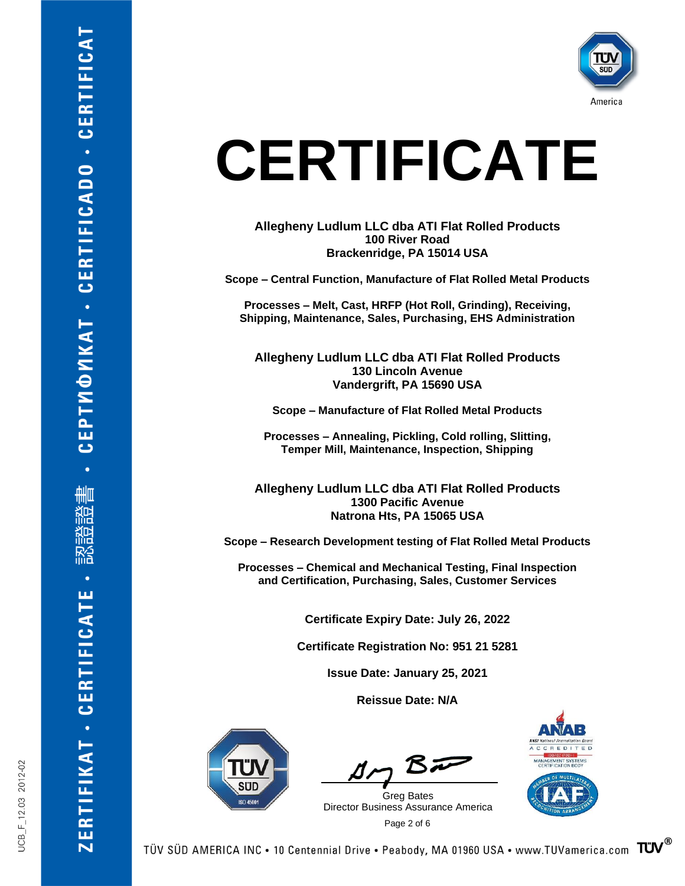

**Allegheny Ludlum LLC dba ATI Flat Rolled Products 100 River Road Brackenridge, PA 15014 USA**

**Scope – Central Function, Manufacture of Flat Rolled Metal Products**

**Processes – Melt, Cast, HRFP (Hot Roll, Grinding), Receiving, Shipping, Maintenance, Sales, Purchasing, EHS Administration**

**Allegheny Ludlum LLC dba ATI Flat Rolled Products 130 Lincoln Avenue Vandergrift, PA 15690 USA**

**Scope – Manufacture of Flat Rolled Metal Products**

**Processes – Annealing, Pickling, Cold rolling, Slitting, Temper Mill, Maintenance, Inspection, Shipping**

**Allegheny Ludlum LLC dba ATI Flat Rolled Products 1300 Pacific Avenue Natrona Hts, PA 15065 USA**

**Scope – Research Development testing of Flat Rolled Metal Products**

**Processes – Chemical and Mechanical Testing, Final Inspection and Certification, Purchasing, Sales, Customer Services**

**Certificate Expiry Date: July 26, 2022**

**Certificate Registration No: 951 21 5281**

**Issue Date: January 25, 2021**

**Reissue Date: N/A**



 $B\bar{D}$ 

 Page 2 of 6 Greg Bates Director Business Assurance America



**CEPTMOMKAT - CERTIFICADO - CERTIFICAT** 

刪 爬

硲

**ZERTIFIKAT - CERTIFICATE**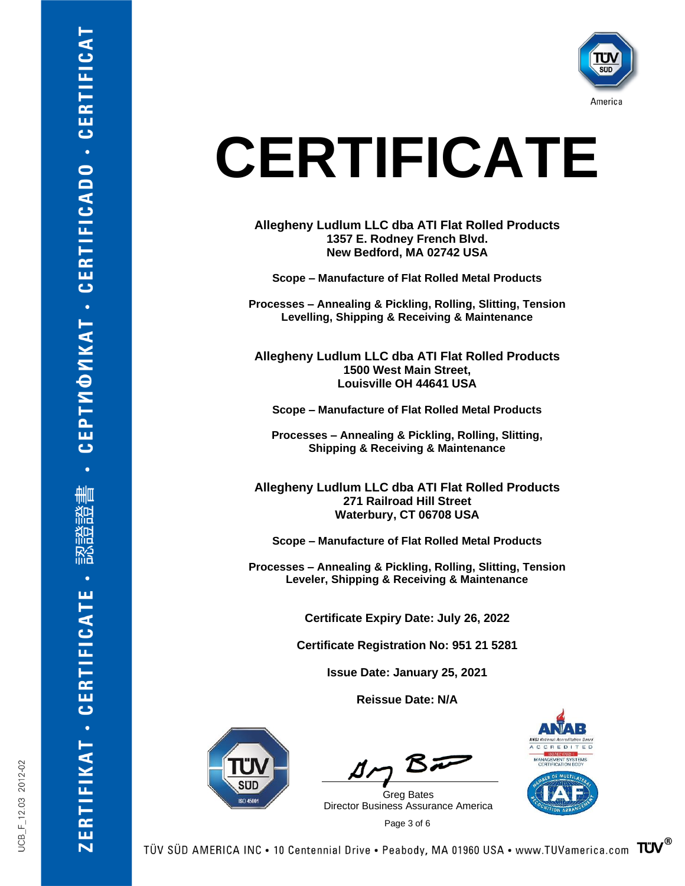

**Allegheny Ludlum LLC dba ATI Flat Rolled Products 1357 E. Rodney French Blvd. New Bedford, MA 02742 USA**

**Scope – Manufacture of Flat Rolled Metal Products**

**Processes** *–* **Annealing & Pickling, Rolling, Slitting, Tension Levelling, Shipping & Receiving & Maintenance**

**Allegheny Ludlum LLC dba ATI Flat Rolled Products 1500 West Main Street, Louisville OH 44641 USA**

**Scope – Manufacture of Flat Rolled Metal Products**

**Processes – Annealing & Pickling, Rolling, Slitting, Shipping & Receiving & Maintenance**

**Allegheny Ludlum LLC dba ATI Flat Rolled Products 271 Railroad Hill Street Waterbury, CT 06708 USA**

**Scope – Manufacture of Flat Rolled Metal Products**

**Processes – Annealing & Pickling, Rolling, Slitting, Tension Leveler, Shipping & Receiving & Maintenance**

**Certificate Expiry Date: July 26, 2022**

**Certificate Registration No: 951 21 5281**

**Issue Date: January 25, 2021**

**Reissue Date: N/A**



 $B\bar{r}$ 

 Page 3 of 6 Greg Bates Director Business Assurance America





UCB F 12.03 2012-02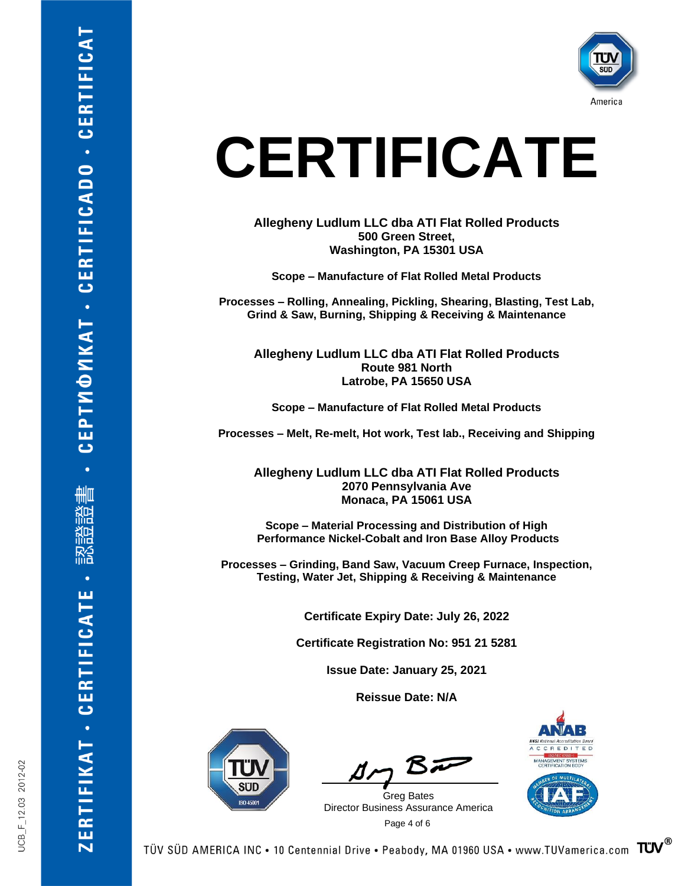

**Allegheny Ludlum LLC dba ATI Flat Rolled Products 500 Green Street, Washington, PA 15301 USA**

**Scope – Manufacture of Flat Rolled Metal Products**

**Processes – Rolling, Annealing, Pickling, Shearing, Blasting, Test Lab, Grind & Saw, Burning, Shipping & Receiving & Maintenance**

**Allegheny Ludlum LLC dba ATI Flat Rolled Products Route 981 North Latrobe, PA 15650 USA**

**Scope – Manufacture of Flat Rolled Metal Products**

**Processes – Melt, Re-melt, Hot work, Test lab., Receiving and Shipping**

**Allegheny Ludlum LLC dba ATI Flat Rolled Products 2070 Pennsylvania Ave Monaca, PA 15061 USA**

**Scope – Material Processing and Distribution of High Performance Nickel-Cobalt and Iron Base Alloy Products**

**Processes – Grinding, Band Saw, Vacuum Creep Furnace, Inspection, Testing, Water Jet, Shipping & Receiving & Maintenance**

**Certificate Expiry Date: July 26, 2022**

**Certificate Registration No: 951 21 5281**

**Issue Date: January 25, 2021**

**Reissue Date: N/A**



 $B =$ 

 Page 4 of 6 Greg Bates Director Business Assurance America



**CEPTMOMKAT - CERTIFICADO - CERTIFICAT** 

刪 除言 ᢚ 硲

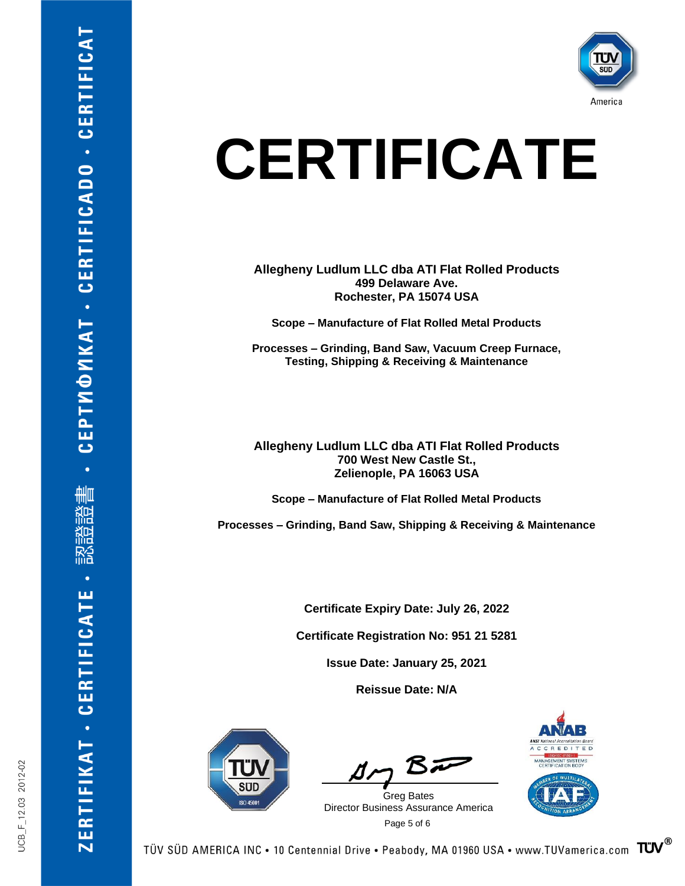

**Allegheny Ludlum LLC dba ATI Flat Rolled Products 499 Delaware Ave. Rochester, PA 15074 USA**

**Scope – Manufacture of Flat Rolled Metal Products**

**Processes – Grinding, Band Saw, Vacuum Creep Furnace, Testing, Shipping & Receiving & Maintenance**

**Allegheny Ludlum LLC dba ATI Flat Rolled Products 700 West New Castle St., Zelienople, PA 16063 USA**

**Scope – Manufacture of Flat Rolled Metal Products**

**Processes – Grinding, Band Saw, Shipping & Receiving & Maintenance**

**Certificate Expiry Date: July 26, 2022**

**Certificate Registration No: 951 21 5281**

**Issue Date: January 25, 2021**

**Reissue Date: N/A**



 $B\bar{D}$ 

 Page 5 of 6 Greg Bates Director Business Assurance America



ZERTIFIKAT - CERTIFICATE

CEPTMOMKAT - CERTIFICADO - CERTIFICAT

刪

籂